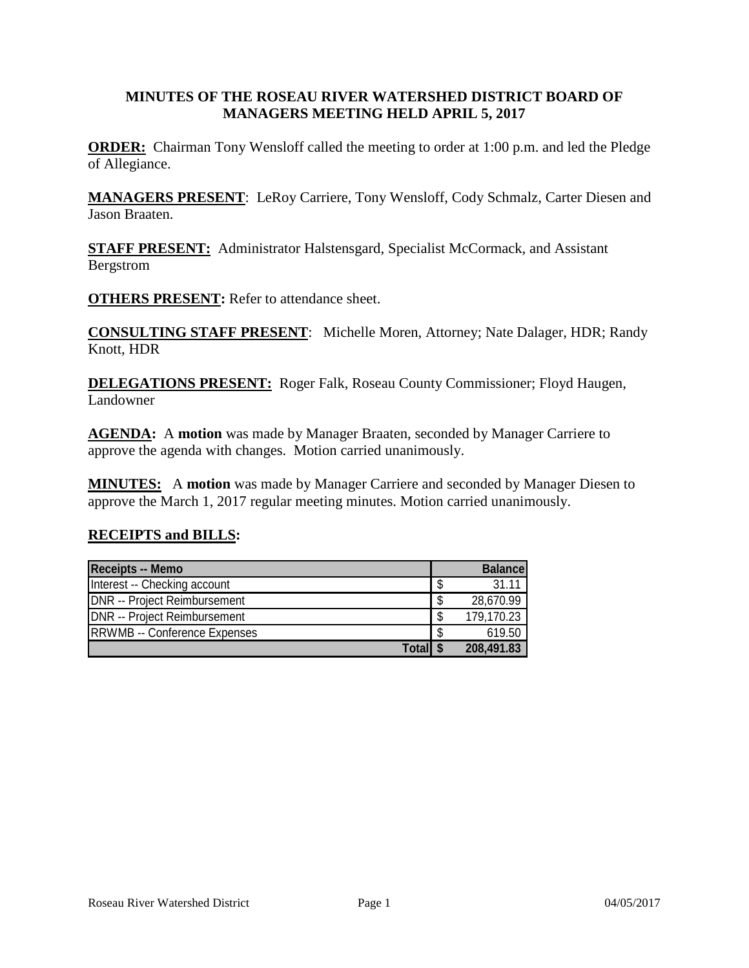#### **MINUTES OF THE ROSEAU RIVER WATERSHED DISTRICT BOARD OF MANAGERS MEETING HELD APRIL 5, 2017**

**ORDER:** Chairman Tony Wensloff called the meeting to order at 1:00 p.m. and led the Pledge of Allegiance.

**MANAGERS PRESENT**: LeRoy Carriere, Tony Wensloff, Cody Schmalz, Carter Diesen and Jason Braaten.

**STAFF PRESENT:** Administrator Halstensgard, Specialist McCormack, and Assistant Bergstrom

**OTHERS PRESENT:** Refer to attendance sheet.

**CONSULTING STAFF PRESENT**: Michelle Moren, Attorney; Nate Dalager, HDR; Randy Knott, HDR

**DELEGATIONS PRESENT:** Roger Falk, Roseau County Commissioner; Floyd Haugen, Landowner

**AGENDA:** A **motion** was made by Manager Braaten, seconded by Manager Carriere to approve the agenda with changes. Motion carried unanimously.

**MINUTES:** A **motion** was made by Manager Carriere and seconded by Manager Diesen to approve the March 1, 2017 regular meeting minutes. Motion carried unanimously.

#### **RECEIPTS and BILLS:**

| <b>Receipts -- Memo</b>             |    | <b>Balance</b> |
|-------------------------------------|----|----------------|
| Interest -- Checking account        |    | 31.11          |
| <b>DNR</b> -- Project Reimbursement | S  | 28,670.99      |
| <b>DNR</b> -- Project Reimbursement | \$ | 179,170.23     |
| <b>RRWMB</b> -- Conference Expenses |    | 619.50         |
| <b>Total</b>                        |    | 208,491.83     |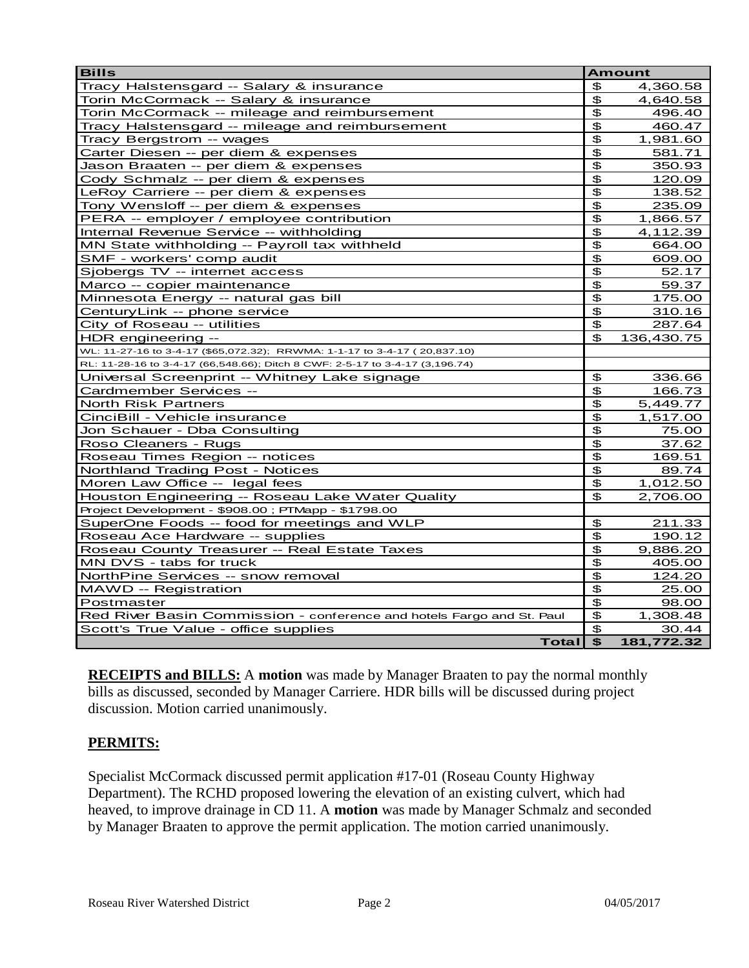| <b>Bills</b>                                                                 |                | <b>Amount</b> |
|------------------------------------------------------------------------------|----------------|---------------|
| Tracy Halstensgard -- Salary & insurance                                     | \$             | 4,360.58      |
| Torin McCormack -- Salary & insurance                                        | \$             | 4,640.58      |
| Torin McCormack -- mileage and reimbursement                                 | \$             | 496.40        |
| Tracy Halstensgard -- mileage and reimbursement                              | $\mathfrak{P}$ | 460.47        |
| Tracy Bergstrom -- wages                                                     | \$             | 1,981.60      |
| Carter Diesen -- per diem & expenses                                         | \$             | 581.71        |
| Jason Braaten -- per diem & expenses                                         | $\mathfrak{P}$ | 350.93        |
| Cody Schmalz -- per diem & expenses                                          | \$             | 120.09        |
| LeRoy Carriere -- per diem & expenses                                        | $\mathfrak{P}$ | 138.52        |
| Tony Wensloff -- per diem & expenses                                         | \$             | 235.09        |
| PERA -- employer / employee contribution                                     | \$             | 1,866.57      |
| Internal Revenue Service -- withholding                                      | $\mathfrak{P}$ | 4,112.39      |
| MN State withholding -- Payroll tax withheld                                 | $\mathfrak{P}$ | 664.00        |
| SMF - workers' comp audit                                                    | \$             | 609.00        |
| Sjobergs TV -- internet access                                               | $\mathfrak{P}$ | 52.17         |
| Marco -- copier maintenance                                                  | \$             | 59.37         |
| Minnesota Energy -- natural gas bill                                         | \$             | 175.00        |
| CenturyLink -- phone service                                                 | $\mathfrak{P}$ | 310.16        |
| City of Roseau -- utilities                                                  | \$             | 287.64        |
| HDR engineering --                                                           | \$             | 136,430.75    |
| WL: 11-27-16 to 3-4-17 (\$65,072.32); RRWMA: 1-1-17 to 3-4-17 ( 20,837.10)   |                |               |
| RL: 11-28-16 to 3-4-17 (66,548.66); Ditch 8 CWF: 2-5-17 to 3-4-17 (3,196.74) |                |               |
| Universal Screenprint -- Whitney Lake signage                                | £.             | 336.66        |
| Cardmember Services --                                                       | $\mathfrak{P}$ | 166.73        |
| North Risk Partners                                                          | \$             | 5,449.77      |
| CinciBill - Vehicle insurance                                                | $\mathfrak{P}$ | 1,517.00      |
| Jon Schauer - Dba Consulting                                                 | \$             | 75.00         |
| Roso Cleaners - Rugs                                                         | \$             | 37.62         |
| Roseau Times Region -- notices                                               | $\mathfrak{P}$ | 169.51        |
| Northland Trading Post - Notices                                             | $\mathfrak{P}$ | 89.74         |
| Moren Law Office -- legal fees                                               | $\mathfrak{P}$ | 1,012.50      |
| Houston Engineering -- Roseau Lake Water Quality                             | \$             | 2,706.00      |
| Project Development - \$908.00 ; PTMapp - \$1798.00                          |                |               |
| SuperOne Foods -- food for meetings and WLP                                  | $\mathfrak{P}$ | 211.33        |
| Roseau Ace Hardware -- supplies                                              | $\mathfrak{P}$ | 190.12        |
| Roseau County Treasurer -- Real Estate Taxes                                 | $\mathfrak{P}$ | 9,886.20      |
| MN DVS - tabs for truck                                                      | $\mathfrak{P}$ | 405.00        |
| NorthPine Services -- snow removal                                           | $\mathfrak{P}$ | 124.20        |
| MAWD -- Registration                                                         | \$             | 25.00         |
| Postmaster                                                                   | \$             | 98.00         |
| Red River Basin Commission - conference and hotels Fargo and St. Paul        | \$             | 1,308.48      |
| Scott's True Value - office supplies                                         | \$             | 30.44         |
| <b>Total</b>                                                                 | $\mathbf{r}$   | 181,772.32    |

**RECEIPTS and BILLS:** A **motion** was made by Manager Braaten to pay the normal monthly bills as discussed, seconded by Manager Carriere. HDR bills will be discussed during project discussion. Motion carried unanimously.

### **PERMITS:**

Specialist McCormack discussed permit application #17-01 (Roseau County Highway Department). The RCHD proposed lowering the elevation of an existing culvert, which had heaved, to improve drainage in CD 11. A **motion** was made by Manager Schmalz and seconded by Manager Braaten to approve the permit application. The motion carried unanimously.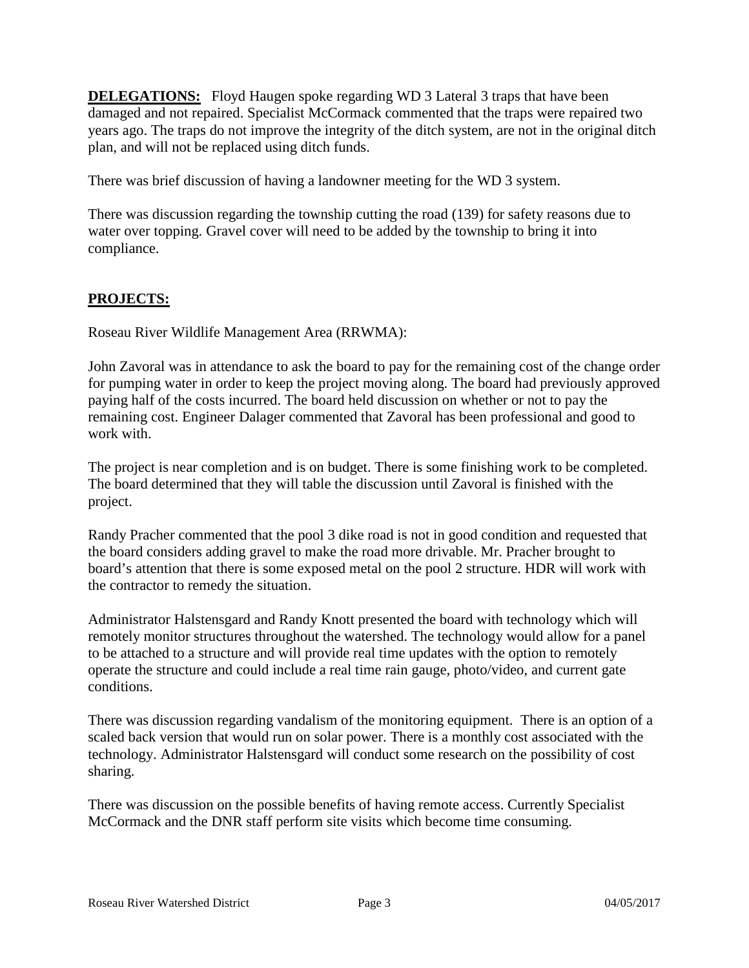**DELEGATIONS:** Floyd Haugen spoke regarding WD 3 Lateral 3 traps that have been damaged and not repaired. Specialist McCormack commented that the traps were repaired two years ago. The traps do not improve the integrity of the ditch system, are not in the original ditch plan, and will not be replaced using ditch funds.

There was brief discussion of having a landowner meeting for the WD 3 system.

There was discussion regarding the township cutting the road (139) for safety reasons due to water over topping. Gravel cover will need to be added by the township to bring it into compliance.

### **PROJECTS:**

Roseau River Wildlife Management Area (RRWMA):

John Zavoral was in attendance to ask the board to pay for the remaining cost of the change order for pumping water in order to keep the project moving along. The board had previously approved paying half of the costs incurred. The board held discussion on whether or not to pay the remaining cost. Engineer Dalager commented that Zavoral has been professional and good to work with.

The project is near completion and is on budget. There is some finishing work to be completed. The board determined that they will table the discussion until Zavoral is finished with the project.

Randy Pracher commented that the pool 3 dike road is not in good condition and requested that the board considers adding gravel to make the road more drivable. Mr. Pracher brought to board's attention that there is some exposed metal on the pool 2 structure. HDR will work with the contractor to remedy the situation.

Administrator Halstensgard and Randy Knott presented the board with technology which will remotely monitor structures throughout the watershed. The technology would allow for a panel to be attached to a structure and will provide real time updates with the option to remotely operate the structure and could include a real time rain gauge, photo/video, and current gate conditions.

There was discussion regarding vandalism of the monitoring equipment. There is an option of a scaled back version that would run on solar power. There is a monthly cost associated with the technology. Administrator Halstensgard will conduct some research on the possibility of cost sharing.

There was discussion on the possible benefits of having remote access. Currently Specialist McCormack and the DNR staff perform site visits which become time consuming.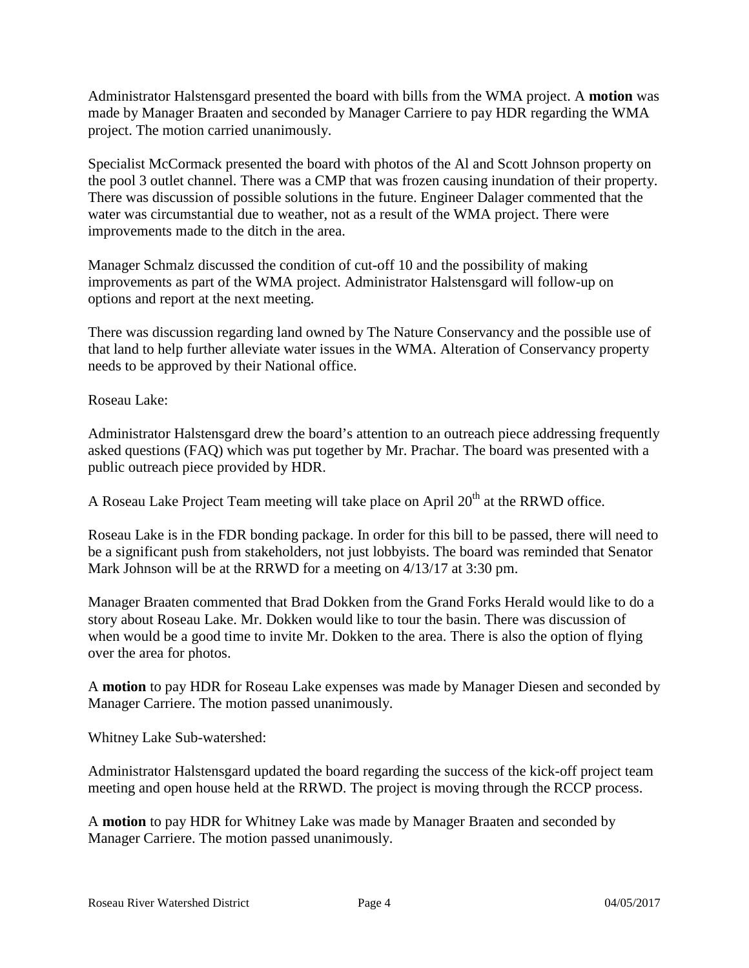Administrator Halstensgard presented the board with bills from the WMA project. A **motion** was made by Manager Braaten and seconded by Manager Carriere to pay HDR regarding the WMA project. The motion carried unanimously.

Specialist McCormack presented the board with photos of the Al and Scott Johnson property on the pool 3 outlet channel. There was a CMP that was frozen causing inundation of their property. There was discussion of possible solutions in the future. Engineer Dalager commented that the water was circumstantial due to weather, not as a result of the WMA project. There were improvements made to the ditch in the area.

Manager Schmalz discussed the condition of cut-off 10 and the possibility of making improvements as part of the WMA project. Administrator Halstensgard will follow-up on options and report at the next meeting.

There was discussion regarding land owned by The Nature Conservancy and the possible use of that land to help further alleviate water issues in the WMA. Alteration of Conservancy property needs to be approved by their National office.

Roseau Lake:

Administrator Halstensgard drew the board's attention to an outreach piece addressing frequently asked questions (FAQ) which was put together by Mr. Prachar. The board was presented with a public outreach piece provided by HDR.

A Roseau Lake Project Team meeting will take place on April  $20<sup>th</sup>$  at the RRWD office.

Roseau Lake is in the FDR bonding package. In order for this bill to be passed, there will need to be a significant push from stakeholders, not just lobbyists. The board was reminded that Senator Mark Johnson will be at the RRWD for a meeting on 4/13/17 at 3:30 pm.

Manager Braaten commented that Brad Dokken from the Grand Forks Herald would like to do a story about Roseau Lake. Mr. Dokken would like to tour the basin. There was discussion of when would be a good time to invite Mr. Dokken to the area. There is also the option of flying over the area for photos.

A **motion** to pay HDR for Roseau Lake expenses was made by Manager Diesen and seconded by Manager Carriere. The motion passed unanimously.

Whitney Lake Sub-watershed:

Administrator Halstensgard updated the board regarding the success of the kick-off project team meeting and open house held at the RRWD. The project is moving through the RCCP process.

A **motion** to pay HDR for Whitney Lake was made by Manager Braaten and seconded by Manager Carriere. The motion passed unanimously.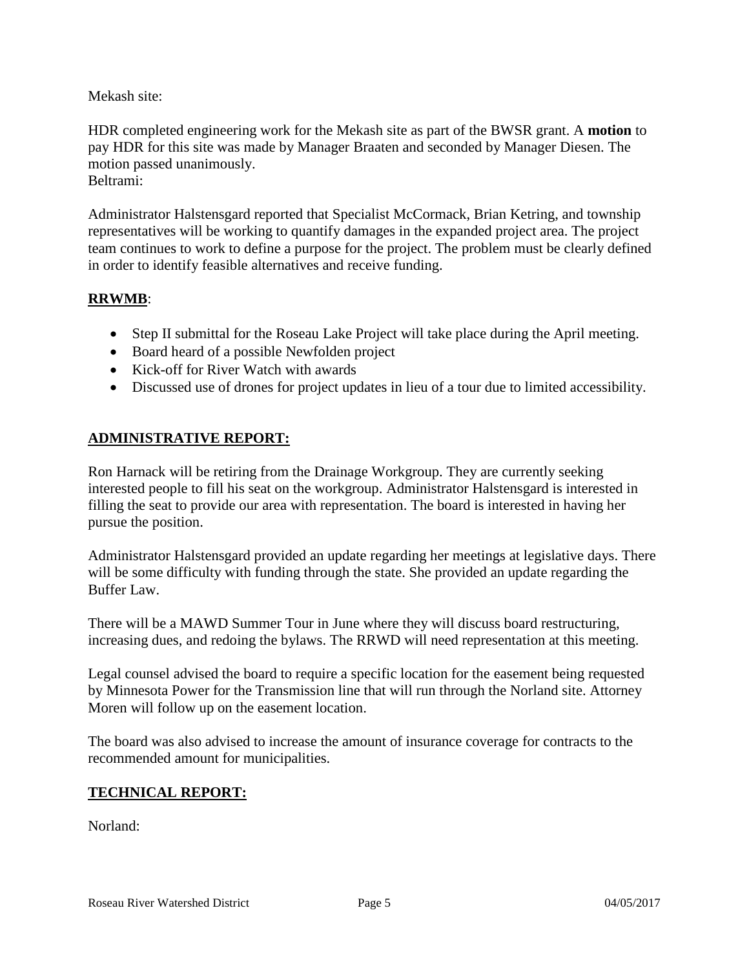Mekash site:

HDR completed engineering work for the Mekash site as part of the BWSR grant. A **motion** to pay HDR for this site was made by Manager Braaten and seconded by Manager Diesen. The motion passed unanimously. Beltrami:

Administrator Halstensgard reported that Specialist McCormack, Brian Ketring, and township representatives will be working to quantify damages in the expanded project area. The project team continues to work to define a purpose for the project. The problem must be clearly defined in order to identify feasible alternatives and receive funding.

## **RRWMB**:

- Step II submittal for the Roseau Lake Project will take place during the April meeting.
- Board heard of a possible Newfolden project
- Kick-off for River Watch with awards
- Discussed use of drones for project updates in lieu of a tour due to limited accessibility.

## **ADMINISTRATIVE REPORT:**

Ron Harnack will be retiring from the Drainage Workgroup. They are currently seeking interested people to fill his seat on the workgroup. Administrator Halstensgard is interested in filling the seat to provide our area with representation. The board is interested in having her pursue the position.

Administrator Halstensgard provided an update regarding her meetings at legislative days. There will be some difficulty with funding through the state. She provided an update regarding the Buffer Law.

There will be a MAWD Summer Tour in June where they will discuss board restructuring, increasing dues, and redoing the bylaws. The RRWD will need representation at this meeting.

Legal counsel advised the board to require a specific location for the easement being requested by Minnesota Power for the Transmission line that will run through the Norland site. Attorney Moren will follow up on the easement location.

The board was also advised to increase the amount of insurance coverage for contracts to the recommended amount for municipalities.

### **TECHNICAL REPORT:**

Norland: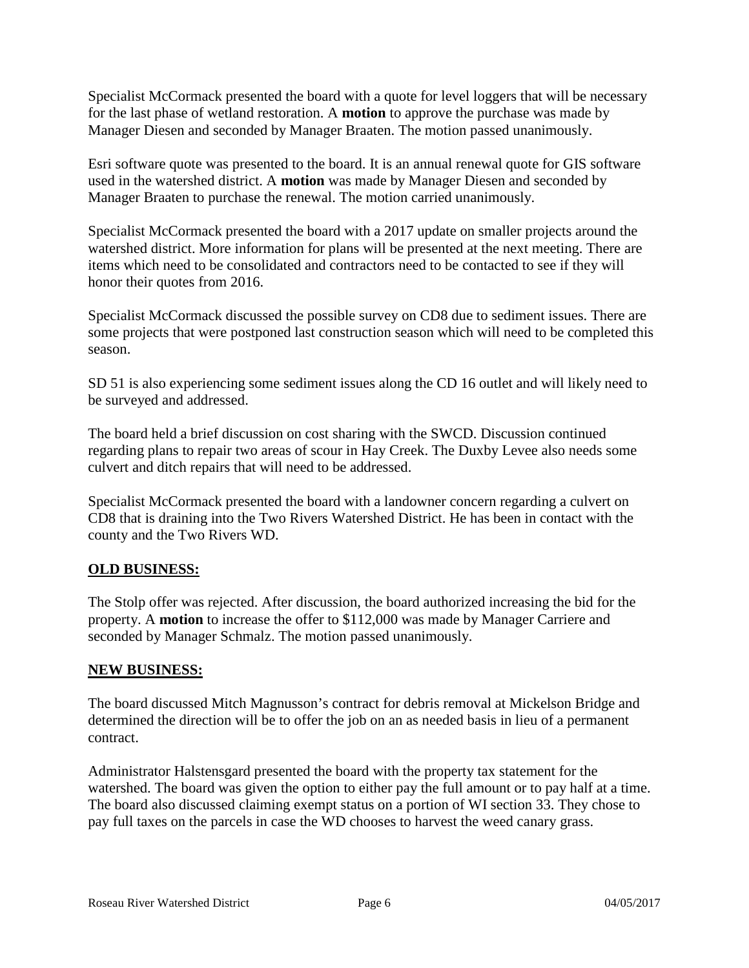Specialist McCormack presented the board with a quote for level loggers that will be necessary for the last phase of wetland restoration. A **motion** to approve the purchase was made by Manager Diesen and seconded by Manager Braaten. The motion passed unanimously.

Esri software quote was presented to the board. It is an annual renewal quote for GIS software used in the watershed district. A **motion** was made by Manager Diesen and seconded by Manager Braaten to purchase the renewal. The motion carried unanimously.

Specialist McCormack presented the board with a 2017 update on smaller projects around the watershed district. More information for plans will be presented at the next meeting. There are items which need to be consolidated and contractors need to be contacted to see if they will honor their quotes from 2016.

Specialist McCormack discussed the possible survey on CD8 due to sediment issues. There are some projects that were postponed last construction season which will need to be completed this season.

SD 51 is also experiencing some sediment issues along the CD 16 outlet and will likely need to be surveyed and addressed.

The board held a brief discussion on cost sharing with the SWCD. Discussion continued regarding plans to repair two areas of scour in Hay Creek. The Duxby Levee also needs some culvert and ditch repairs that will need to be addressed.

Specialist McCormack presented the board with a landowner concern regarding a culvert on CD8 that is draining into the Two Rivers Watershed District. He has been in contact with the county and the Two Rivers WD.

# **OLD BUSINESS:**

The Stolp offer was rejected. After discussion, the board authorized increasing the bid for the property. A **motion** to increase the offer to \$112,000 was made by Manager Carriere and seconded by Manager Schmalz. The motion passed unanimously.

### **NEW BUSINESS:**

The board discussed Mitch Magnusson's contract for debris removal at Mickelson Bridge and determined the direction will be to offer the job on an as needed basis in lieu of a permanent contract.

Administrator Halstensgard presented the board with the property tax statement for the watershed. The board was given the option to either pay the full amount or to pay half at a time. The board also discussed claiming exempt status on a portion of WI section 33. They chose to pay full taxes on the parcels in case the WD chooses to harvest the weed canary grass.